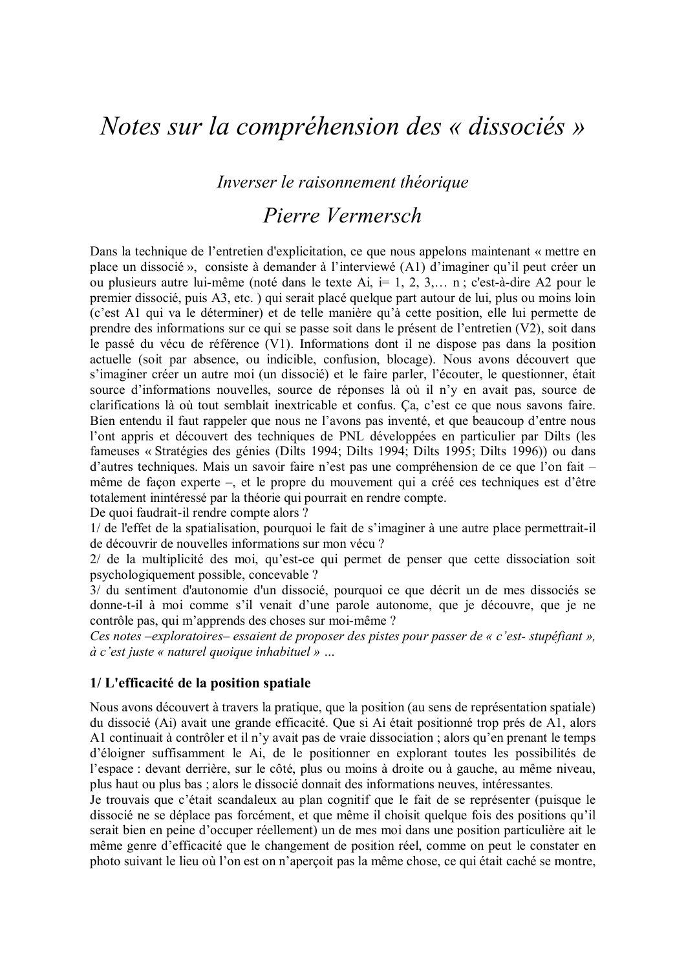# Notes sur la compréhension des « dissociés »

## Inverser le raisonnement théorique

## Pierre Vermersch

Dans la technique de l'entretien d'explicitation, ce que nous appelons maintenant « mettre en place un dissocié», consiste à demander à l'interviewé (A1) d'imaginer qu'il peut créer un ou plusieurs autre lui-même (noté dans le texte Ai, i= 1, 2, 3,... n; c'est-à-dire A2 pour le premier dissocié, puis A3, etc.) qui serait placé quelque part autour de lui, plus ou moins loin (c'est A1 qui va le déterminer) et de telle manière qu'à cette position, elle lui permette de prendre des informations sur ce qui se passe soit dans le présent de l'entretien (V2), soit dans le passé du vécu de référence (V1). Informations dont il ne dispose pas dans la position actuelle (soit par absence, ou indicible, confusion, blocage). Nous avons découvert que s'imaginer créer un autre moi (un dissocié) et le faire parler. l'écouter, le questionner, était source d'informations nouvelles, source de réponses là où il n'y en avait pas, source de clarifications là où tout semblait inextricable et confus. Ca, c'est ce que nous savons faire. Bien entendu il faut rappeler que nous ne l'avons pas inventé, et que beaucoup d'entre nous l'ont appris et découvert des techniques de PNL développées en particulier par Dilts (les fameuses « Stratégies des génies (Dilts 1994; Dilts 1994; Dilts 1995; Dilts 1996)) ou dans d'autres techniques. Mais un savoir faire n'est pas une compréhension de ce que l'on fait même de façon experte –, et le propre du mouvement qui a créé ces techniques est d'être totalement inintéressé par la théorie qui pourrait en rendre compte.

De quoi faudrait-il rendre compte alors ?

1/ de l'effet de la spatialisation, pourquoi le fait de s'imaginer à une autre place permettrait-il de découvrir de nouvelles informations sur mon vécu ?

2/ de la multiplicité des moi, qu'est-ce qui permet de penser que cette dissociation soit psychologiquement possible, concevable?

3/ du sentiment d'autonomie d'un dissocié, pourquoi ce que décrit un de mes dissociés se donne-t-il à moi comme s'il venait d'une parole autonome, que je découvre, que je ne contrôle pas, qui m'apprends des choses sur moi-même?

Ces notes –exploratoires– essaient de proposer des pistes pour passer de « c'est- stupéfiant »,  $\dot{a}$  c'est juste « naturel quoique inhabituel » ...

#### 1/L'efficacité de la position spatiale

Nous avons découvert à travers la pratique, que la position (au sens de représentation spatiale) du dissocié (Ai) avait une grande efficacité. Que si Ai était positionné trop prés de A1, alors Al continuait à contrôler et il n'y avait pas de vraie dissociation; alors qu'en prenant le temps d'éloigner suffisamment le Ai, de le positionner en explorant toutes les possibilités de l'espace : devant derrière, sur le côté, plus ou moins à droite ou à gauche, au même niveau, plus haut ou plus bas ; alors le dissocié donnait des informations neuves, intéressantes.

Je trouvais que c'était scandaleux au plan cognitif que le fait de se représenter (puisque le dissocié ne se déplace pas forcément, et que même il choisit quelque fois des positions qu'il serait bien en peine d'occuper réellement) un de mes moi dans une position particulière ait le même genre d'efficacité que le changement de position réel, comme on peut le constater en photo suivant le lieu où l'on est on n'aperçoit pas la même chose, ce qui était caché se montre,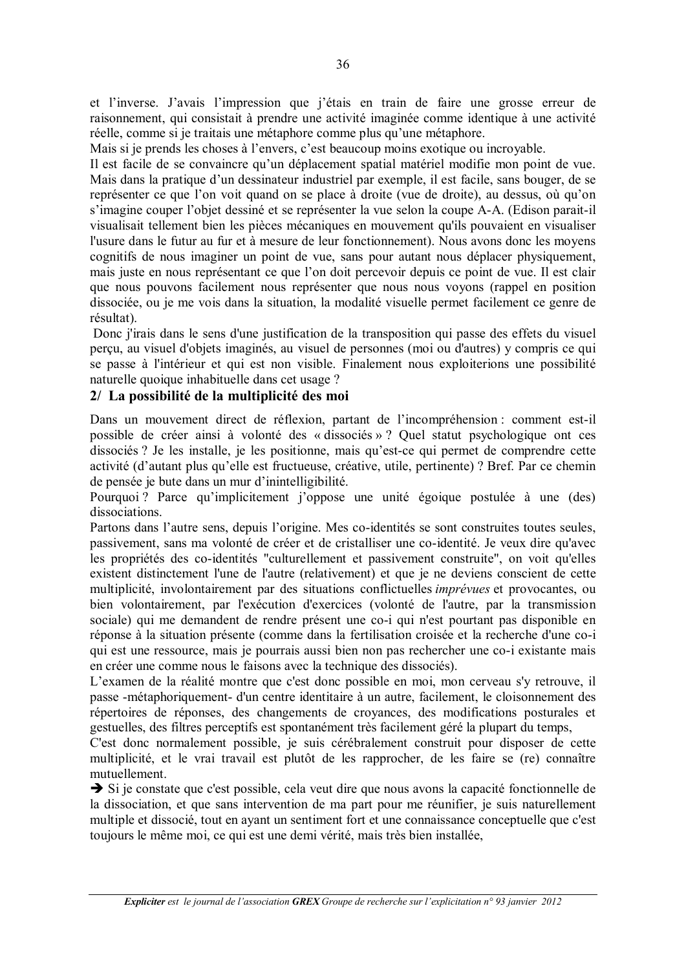et l'inverse. J'avais l'impression que j'étais en train de faire une grosse erreur de raisonnement, qui consistait à prendre une activité imaginée comme identique à une activité réelle, comme si je traitais une métaphore comme plus qu'une métaphore.

Mais si je prends les choses à l'envers, c'est beaucoup moins exotique ou incrovable.

Il est facile de se convaincre qu'un déplacement spatial matériel modifie mon point de vue. Mais dans la pratique d'un dessinateur industriel par exemple, il est facile, sans bouger, de se représenter ce que l'on voit quand on se place à droite (vue de droite), au dessus, où qu'on s'imagine couper l'obiet dessiné et se représenter la vue selon la coupe A-A. (Edison parait-il visualisait tellement bien les pièces mécaniques en mouvement qu'ils pouvaient en visualiser l'usure dans le futur au fur et à mesure de leur fonctionnement). Nous avons donc les moyens cognitifs de nous imaginer un point de vue, sans pour autant nous déplacer physiquement, mais juste en nous représentant ce que l'on doit percevoir depuis ce point de vue. Il est clair que nous pouvons facilement nous représenter que nous nous voyons (rappel en position dissociée, ou je me vois dans la situation, la modalité visuelle permet facilement ce genre de résultat).

Donc j'irais dans le sens d'une justification de la transposition qui passe des effets du visuel perçu, au visuel d'objets imaginés, au visuel de personnes (moi ou d'autres) y compris ce qui se passe à l'intérieur et qui est non visible. Finalement nous exploiterions une possibilité naturelle quoique inhabituelle dans cet usage?

### 2/ La possibilité de la multiplicité des moi

Dans un mouvement direct de réflexion, partant de l'incompréhension : comment est-il possible de créer ainsi à volonté des « dissociés » ? Quel statut psychologique ont ces dissociés ? Je les installe, je les positionne, mais qu'est-ce qui permet de comprendre cette activité (d'autant plus qu'elle est fructueuse, créative, utile, pertinente) ? Bref. Par ce chemin de pensée je bute dans un mur d'inintelligibilité.

Pourquoi? Parce qu'implicitement j'oppose une unité égoique postulée à une (des) dissociations

Partons dans l'autre sens, depuis l'origine. Mes co-identités se sont construites toutes seules, passivement, sans ma volonté de créer et de cristalliser une co-identité. Je veux dire qu'avec les propriétés des co-identités "culturellement et passivement construite", on voit qu'elles existent distinctement l'une de l'autre (relativement) et que je ne deviens conscient de cette multiplicité, involontairement par des situations conflictuelles *imprévues* et provocantes, ou bien volontairement, par l'exécution d'exercices (volonté de l'autre, par la transmission sociale) qui me demandent de rendre présent une co-i qui n'est pourtant pas disponible en réponse à la situation présente (comme dans la fertilisation croisée et la recherche d'une co-i qui est une ressource, mais je pourrais aussi bien non pas rechercher une co-i existante mais en créer une comme nous le faisons avec la technique des dissociés).

L'examen de la réalité montre que c'est donc possible en moi, mon cerveau s'y retrouve, il passe -métaphoriquement- d'un centre identitaire à un autre, facilement, le cloisonnement des répertoires de réponses, des changements de croyances, des modifications posturales et gestuelles, des filtres perceptifs est spontanément très facilement géré la plupart du temps.

C'est donc normalement possible, je suis cérébralement construit pour disposer de cette multiplicité, et le vrai travail est plutôt de les rapprocher, de les faire se (re) connaître mutuellement.

 $\rightarrow$  Si je constate que c'est possible, cela veut dire que nous avons la capacité fonctionnelle de la dissociation, et que sans intervention de ma part pour me réunifier, je suis naturellement multiple et dissocié, tout en ayant un sentiment fort et une connaissance conceptuelle que c'est toujours le même moi, ce qui est une demi vérité, mais très bien installée,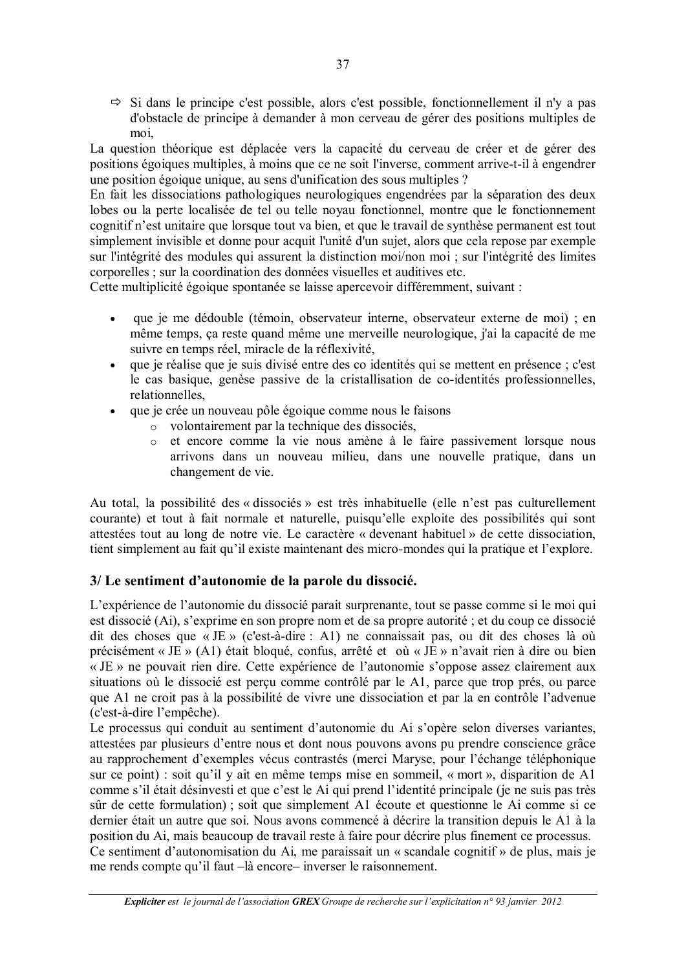$\Rightarrow$  Si dans le principe c'est possible, alors c'est possible, fonctionnellement il n'y a pas d'obstacle de principe à demander à mon cerveau de gérer des positions multiples de moi.

La question théorique est déplacée vers la capacité du cerveau de créer et de gérer des positions égoiques multiples, à moins que ce ne soit l'inverse, comment arrive-t-il à engendrer une position égoique unique, au sens d'unification des sous multiples ?

En fait les dissociations pathologiques neurologiques engendrées par la séparation des deux lobes ou la perte localisée de tel ou telle novau fonctionnel, montre que le fonctionnement cognitif n'est unitaire que lorsque tout va bien, et que le travail de synthèse permanent est tout simplement invisible et donne pour acquit l'unité d'un sujet, alors que cela repose par exemple sur l'intégrité des modules qui assurent la distinction moi/non moi ; sur l'intégrité des limites corporelles : sur la coordination des données visuelles et auditives etc.

Cette multiplicité égoique spontanée se laisse apercevoir différemment, suivant :

- que je me dédouble (témoin, observateur interne, observateur externe de moi) ; en  $\bullet$ même temps, ça reste quand même une merveille neurologique, j'ai la capacité de me suivre en temps réel, miracle de la réflexivité,
- que je réalise que je suis divisé entre des co identités qui se mettent en présence ; c'est le cas basique, genèse passive de la cristallisation de co-identités professionnelles, relationnelles.
- que je crée un nouveau pôle égoique comme nous le faisons
	- o volontairement par la technique des dissociés,
	- o et encore comme la vie nous amène à le faire passivement lorsque nous arrivons dans un nouveau milieu, dans une nouvelle pratique, dans un changement de vie.

Au total, la possibilité des « dissociés » est très inhabituelle (elle n'est pas culturellement courante) et tout à fait normale et naturelle, puisqu'elle exploite des possibilités qui sont attestées tout au long de notre vie. Le caractère « devenant habituel » de cette dissociation, tient simplement au fait qu'il existe maintenant des micro-mondes qui la pratique et l'explore.

## 3/ Le sentiment d'autonomie de la parole du dissocié.

L'expérience de l'autonomie du dissocié parait surprenante, tout se passe comme si le moi qui est dissocié (Ai), s'exprime en son propre nom et de sa propre autorité ; et du coup ce dissocié dit des choses que « JE » (c'est-à-dire : A1) ne connaissait pas, ou dit des choses là où précisément « JE » (A1) était bloqué, confus, arrêté et où « JE » n'avait rien à dire ou bien « JE » ne pouvait rien dire. Cette expérience de l'autonomie s'oppose assez clairement aux situations où le dissocié est perçu comme contrôlé par le A1, parce que trop prés, ou parce que A1 ne croit pas à la possibilité de vivre une dissociation et par la en contrôle l'advenue (c'est-à-dire l'empêche).

Le processus qui conduit au sentiment d'autonomie du Ai s'opère selon diverses variantes, attestées par plusieurs d'entre nous et dont nous pouvons avons pu prendre conscience grâce au rapprochement d'exemples vécus contrastés (merci Maryse, pour l'échange téléphonique sur ce point) : soit qu'il y ait en même temps mise en sommeil, « mort », disparition de A1 comme s'il était désinvesti et que c'est le Ai qui prend l'identité principale (je ne suis pas très sûr de cette formulation); soit que simplement A1 écoute et questionne le Ai comme si ce dernier était un autre que soi. Nous avons commencé à décrire la transition depuis le A1 à la position du Ai, mais beaucoup de travail reste à faire pour décrire plus finement ce processus. Ce sentiment d'autonomisation du Ai, me paraissait un « scandale cognitif » de plus, mais je me rends compte qu'il faut -là encore- inverser le raisonnement.